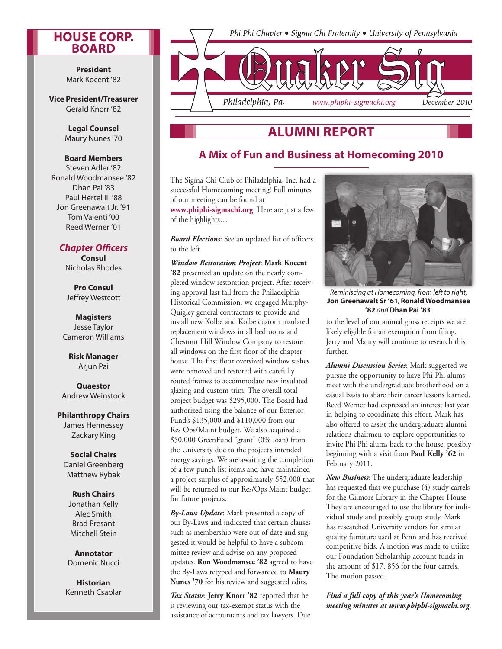#### **House Corp. Board**

**President** Mark Kocent '82

**Vice President/Treasurer** Gerald Knorr '82

> **Legal Counsel**  Maury Nunes '70

#### **Board Members**

Steven Adler '82 Ronald Woodmansee '82 Dhan Pai '83 Paul Hertel III '88 Jon Greenawalt Jr. '91 Tom Valenti '00 Reed Werner '01

#### *Chapter Officers*

**Consul** Nicholas Rhodes

**Pro Consul**  Jeffrey Westcott

**Magisters** Jesse Taylor Cameron Williams

**Risk Manager** Arjun Pai

**Quaestor** Andrew Weinstock

#### **Philanthropy Chairs**

James Hennessey Zackary King

**Social Chairs** Daniel Greenberg Matthew Rybak

#### **Rush Chairs** Jonathan Kelly Alec Smith Brad Presant

**Annotator** Domenic Nucci

Mitchell Stein

**Historian** Kenneth Csaplar



# **Alumni Report**

### **A Mix of Fun and Business at Homecoming 2010**

The Sigma Chi Club of Philadelphia, Inc. had a successful Homecoming meeting! Full minutes of our meeting can be found at **www.phiphi-sigmachi.org**. Here are just a few of the highlights…

*Board Elections*: See an updated list of officers to the left

*Window Restoration Project*: **Mark Kocent '82** presented an update on the nearly completed window restoration project. After receiving approval last fall from the Philadelphia Historical Commission, we engaged Murphy-Quigley general contractors to provide and install new Kolbe and Kolbe custom insulated replacement windows in all bedrooms and Chestnut Hill Window Company to restore all windows on the first floor of the chapter house. The first floor oversized window sashes were removed and restored with carefully routed frames to accommodate new insulated glazing and custom trim. The overall total project budget was \$295,000. The Board had authorized using the balance of our Exterior Fund's \$135,000 and \$110,000 from our Res Ops/Maint budget. We also acquired a \$50,000 GreenFund "grant" (0% loan) from the University due to the project's intended energy savings. We are awaiting the completion of a few punch list items and have maintained a project surplus of approximately \$52,000 that will be returned to our Res/Ops Maint budget for future projects.

*By-Laws Update*: Mark presented a copy of our By-Laws and indicated that certain clauses such as membership were out of date and suggested it would be helpful to have a subcommittee review and advise on any proposed updates. **Ron Woodmansee '82** agreed to have the By-Laws retyped and forwarded to **Maury Nunes '70** for his review and suggested edits.

*Tax Status*: **Jerry Knorr '82** reported that he is reviewing our tax-exempt status with the assistance of accountants and tax lawyers. Due



*Reminiscing at Homecoming, from left to right,*  **Jon Greenawalt Sr '61***,* **Ronald Woodmansee '82** *and* **Dhan Pai '83***.*

to the level of our annual gross receipts we are likely eligible for an exemption from filing. Jerry and Maury will continue to research this further.

*Alumni Discussion Series*: Mark suggested we pursue the opportunity to have Phi Phi alums meet with the undergraduate brotherhood on a casual basis to share their career lessons learned. Reed Werner had expressed an interest last year in helping to coordinate this effort. Mark has also offered to assist the undergraduate alumni relations chairmen to explore opportunities to invite Phi Phi alums back to the house, possibly beginning with a visit from **Paul Kelly '62** in February 2011.

*New Business*: The undergraduate leadership has requested that we purchase (4) study carrels for the Gilmore Library in the Chapter House. They are encouraged to use the library for individual study and possibly group study. Mark has researched University vendors for similar quality furniture used at Penn and has received competitive bids. A motion was made to utilize our Foundation Scholarship account funds in the amount of \$17, 856 for the four carrels. The motion passed.

#### *Find a full copy of this year's Homecoming meeting minutes at www.phiphi-sigmachi.org.*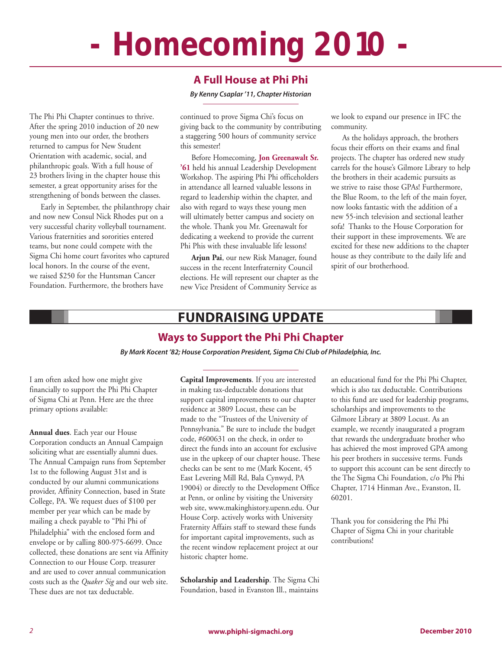# **- Homecoming 2010 -**

#### **A Full House at Phi Phi**

*By Kenny Csaplar '11, Chapter Historian*

The Phi Phi Chapter continues to thrive. After the spring 2010 induction of 20 new young men into our order, the brothers returned to campus for New Student Orientation with academic, social, and philanthropic goals. With a full house of 23 brothers living in the chapter house this semester, a great opportunity arises for the strengthening of bonds between the classes.

Early in September, the philanthropy chair and now new Consul Nick Rhodes put on a very successful charity volleyball tournament. Various fraternities and sororities entered teams, but none could compete with the Sigma Chi home court favorites who captured local honors. In the course of the event, we raised \$250 for the Huntsman Cancer Foundation. Furthermore, the brothers have

continued to prove Sigma Chi's focus on giving back to the community by contributing a staggering 500 hours of community service this semester!

Before Homecoming, **Jon Greenawalt Sr. '61** held his annual Leadership Development Workshop. The aspiring Phi Phi officeholders in attendance all learned valuable lessons in regard to leadership within the chapter, and also with regard to ways these young men will ultimately better campus and society on the whole. Thank you Mr. Greenawalt for dedicating a weekend to provide the current Phi Phis with these invaluable life lessons!

**Arjun Pai**, our new Risk Manager, found success in the recent Interfraternity Council elections. He will represent our chapter as the new Vice President of Community Service as

we look to expand our presence in IFC the community.

As the holidays approach, the brothers focus their efforts on their exams and final projects. The chapter has ordered new study carrels for the house's Gilmore Library to help the brothers in their academic pursuits as we strive to raise those GPAs! Furthermore, the Blue Room, to the left of the main foyer, now looks fantastic with the addition of a new 55-inch television and sectional leather sofa! Thanks to the House Corporation for their support in these improvements. We are excited for these new additions to the chapter house as they contribute to the daily life and spirit of our brotherhood.

# **Fundraising Update**

#### **Ways to Support the Phi Phi Chapter**

*By Mark Kocent '82; House Corporation President, Sigma Chi Club of Philadelphia, Inc.*

I am often asked how one might give financially to support the Phi Phi Chapter of Sigma Chi at Penn. Here are the three primary options available:

**Annual dues**. Each year our House Corporation conducts an Annual Campaign soliciting what are essentially alumni dues. The Annual Campaign runs from September 1st to the following August 31st and is conducted by our alumni communications provider, Affinity Connection, based in State College, PA. We request dues of \$100 per member per year which can be made by mailing a check payable to "Phi Phi of Philadelphia" with the enclosed form and envelope or by calling 800-975-6699. Once collected, these donations are sent via Affinity Connection to our House Corp. treasurer and are used to cover annual communication costs such as the *Quaker Sig* and our web site. These dues are not tax deductable.

**Capital Improvements**. If you are interested in making tax-deductable donations that support capital improvements to our chapter residence at 3809 Locust, these can be made to the "Trustees of the University of Pennsylvania." Be sure to include the budget code, #600631 on the check, in order to direct the funds into an account for exclusive use in the upkeep of our chapter house. These checks can be sent to me (Mark Kocent, 45 East Levering Mill Rd, Bala Cynwyd, PA 19004) or directly to the Development Office at Penn, or online by visiting the University web site, www.makinghistory.upenn.edu. Our House Corp. actively works with University Fraternity Affairs staff to steward these funds for important capital improvements, such as the recent window replacement project at our historic chapter home.

**Scholarship and Leadership**. The Sigma Chi Foundation, based in Evanston Ill., maintains

an educational fund for the Phi Phi Chapter, which is also tax deductable. Contributions to this fund are used for leadership programs, scholarships and improvements to the Gilmore Library at 3809 Locust. As an example, we recently inaugurated a program that rewards the undergraduate brother who has achieved the most improved GPA among his peer brothers in successive terms. Funds to support this account can be sent directly to the The Sigma Chi Foundation, c/o Phi Phi Chapter, 1714 Hinman Ave., Evanston, IL 60201.

Thank you for considering the Phi Phi Chapter of Sigma Chi in your charitable contributions!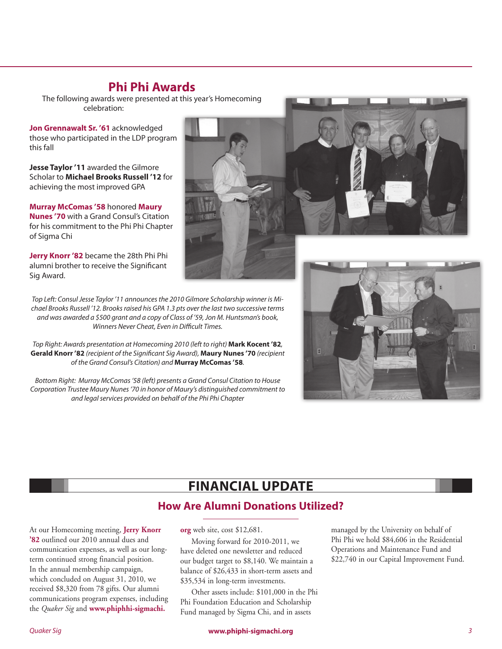## **Phi Phi Awards**

The following awards were presented at this year's Homecoming celebration:

**Jon Grennawalt Sr. '61** acknowledged those who participated in the LDP program this fall

**Jesse Taylor '11** awarded the Gilmore Scholar to **Michael Brooks Russell '12** for achieving the most improved GPA

**Murray McComas '58** honored **Maury Nunes '70** with a Grand Consul's Citation for his commitment to the Phi Phi Chapter of Sigma Chi

**Jerry Knorr '82** became the 28th Phi Phi alumni brother to receive the Significant Sig Award.

*Top Left: Consul Jesse Taylor '11 announces the 2010 Gilmore Scholarship winner is Michael Brooks Russell '12. Brooks raised his GPA 1.3 pts over the last two successive terms and was awarded a \$500 grant and a copy of Class of '59, Jon M. Huntsman's book, Winners Never Cheat, Even in Difficult Times.*

*Top Right: Awards presentation at Homecoming 2010 (left to right)* **Mark Kocent '82***,*  **Gerald Knorr '82** *(recipient of the Significant Sig Award),* **Maury Nunes '70** *(recipient of the Grand Consul's Citation) and* **Murray McComas '58***.*

*Bottom Right: Murray McComas '58 (left) presents a Grand Consul Citation to House Corporation Trustee Maury Nunes '70 in honor of Maury's distinguished commitment to and legal services provided on behalf of the Phi Phi Chapter*

# **Financial Update**

# **How Are Alumni Donations Utilized?**

At our Homecoming meeting, **Jerry Knorr '82** outlined our 2010 annual dues and communication expenses, as well as our longterm continued strong financial position. In the annual membership campaign, which concluded on August 31, 2010, we received \$8,320 from 78 gifts. Our alumni communications program expenses, including the *Quaker Sig* and **www.phiphhi-sigmachi.**

Moving forward for 2010-2011, we have deleted one newsletter and reduced our budget target to \$8,140. We maintain a balance of \$26,433 in short-term assets and \$35,534 in long-term investments.

Other assets include: \$101,000 in the Phi Phi Foundation Education and Scholarship Fund managed by Sigma Chi, and in assets

managed by the University on behalf of Phi Phi we hold \$84,606 in the Residential Operations and Maintenance Fund and \$22,740 in our Capital Improvement Fund.